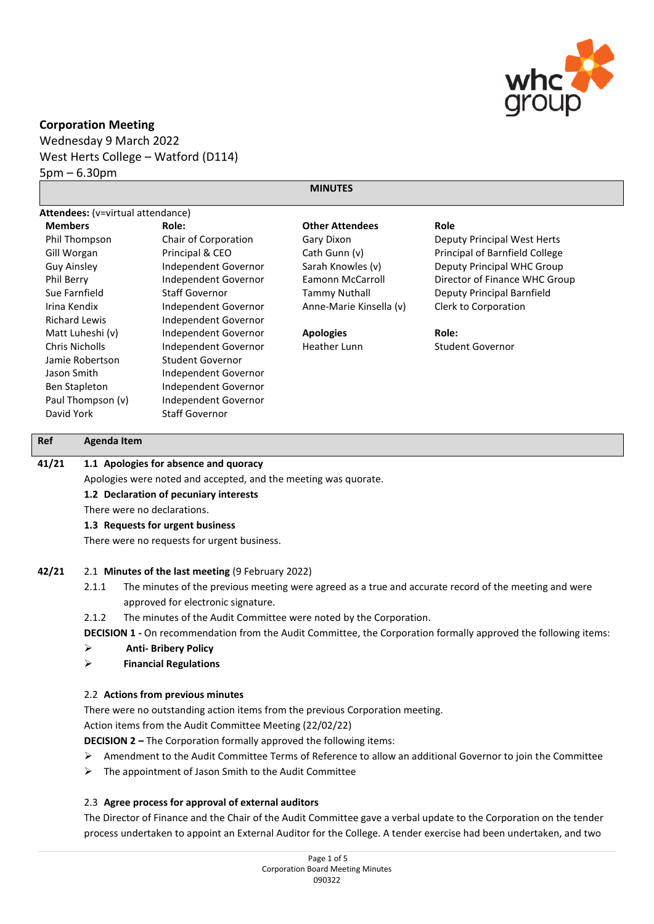

# **Corporation Meeting**

Wednesday 9 March 2022 West Herts College – Watford (D114) 5pm – 6.30pm

# **MINUTES**

| <b>Attendees:</b> (v=virtual attendance) |                       |                         |                                |  |
|------------------------------------------|-----------------------|-------------------------|--------------------------------|--|
| <b>Members</b>                           | Role:                 | <b>Other Attendees</b>  | Role                           |  |
| Phil Thompson                            | Chair of Corporation  | Gary Dixon              | Deputy Principal West Herts    |  |
| Gill Worgan                              | Principal & CEO       | Cath Gunn (v)           | Principal of Barnfield College |  |
| <b>Guy Ainsley</b>                       | Independent Governor  | Sarah Knowles (v)       | Deputy Principal WHC Group     |  |
| Phil Berry                               | Independent Governor  | Eamonn McCarroll        | Director of Finance WHC Group  |  |
| Sue Farnfield                            | <b>Staff Governor</b> | <b>Tammy Nuthall</b>    | Deputy Principal Barnfield     |  |
| Irina Kendix                             | Independent Governor  | Anne-Marie Kinsella (v) | Clerk to Corporation           |  |
| <b>Richard Lewis</b>                     | Independent Governor  |                         |                                |  |
| Matt Luheshi (v)                         | Independent Governor  | <b>Apologies</b>        | Role:                          |  |
| Chris Nicholls                           | Independent Governor  | Heather Lunn            | Student Governor               |  |
| Jamie Robertson                          | Student Governor      |                         |                                |  |
| Jason Smith                              | Independent Governor  |                         |                                |  |
| Ben Stapleton                            | Independent Governor  |                         |                                |  |
| Paul Thompson (v)                        | Independent Governor  |                         |                                |  |
| David York                               | <b>Staff Governor</b> |                         |                                |  |

# **Ref Agenda Item**

# **41/21 1.1 Apologies for absence and quoracy**

Apologies were noted and accepted, and the meeting was quorate.

# **1.2 Declaration of pecuniary interests**

There were no declarations.

#### **1.3 Requests for urgent business**

There were no requests for urgent business.

#### **42/21** 2.1 **Minutes of the last meeting** (9 February 2022)

- 2.1.1 The minutes of the previous meeting were agreed as a true and accurate record of the meeting and were approved for electronic signature.
- 2.1.2 The minutes of the Audit Committee were noted by the Corporation.
- **DECISION 1 -** On recommendation from the Audit Committee, the Corporation formally approved the following items:

# ➢ **Anti- Bribery Policy**

➢ **Financial Regulations**

#### 2.2 **Actions from previous minutes**

There were no outstanding action items from the previous Corporation meeting.

Action items from the Audit Committee Meeting (22/02/22)

**DECISION 2 –** The Corporation formally approved the following items:

- ➢ Amendment to the Audit Committee Terms of Reference to allow an additional Governor to join the Committee
- $\triangleright$  The appointment of Jason Smith to the Audit Committee

# 2.3 **Agree process for approval of external auditors**

The Director of Finance and the Chair of the Audit Committee gave a verbal update to the Corporation on the tender process undertaken to appoint an External Auditor for the College. A tender exercise had been undertaken, and two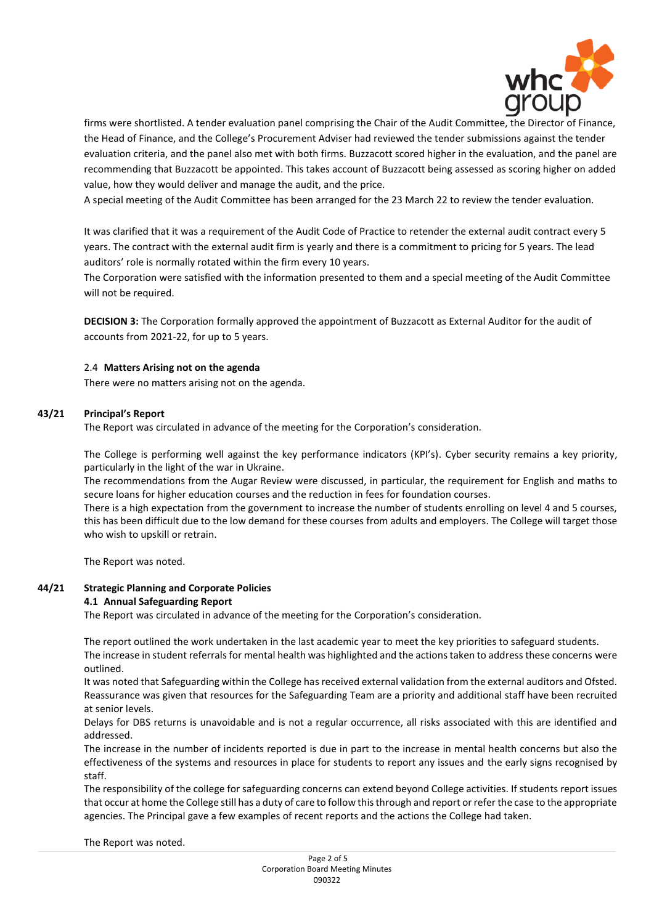

firms were shortlisted. A tender evaluation panel comprising the Chair of the Audit Committee, the Director of Finance, the Head of Finance, and the College's Procurement Adviser had reviewed the tender submissions against the tender evaluation criteria, and the panel also met with both firms. Buzzacott scored higher in the evaluation, and the panel are recommending that Buzzacott be appointed. This takes account of Buzzacott being assessed as scoring higher on added value, how they would deliver and manage the audit, and the price.

A special meeting of the Audit Committee has been arranged for the 23 March 22 to review the tender evaluation.

It was clarified that it was a requirement of the Audit Code of Practice to retender the external audit contract every 5 years. The contract with the external audit firm is yearly and there is a commitment to pricing for 5 years. The lead auditors' role is normally rotated within the firm every 10 years.

The Corporation were satisfied with the information presented to them and a special meeting of the Audit Committee will not be required.

**DECISION 3:** The Corporation formally approved the appointment of Buzzacott as External Auditor for the audit of accounts from 2021-22, for up to 5 years.

# 2.4 **Matters Arising not on the agenda**

There were no matters arising not on the agenda.

# **43/21 Principal's Report**

The Report was circulated in advance of the meeting for the Corporation's consideration.

The College is performing well against the key performance indicators (KPI's). Cyber security remains a key priority, particularly in the light of the war in Ukraine.

The recommendations from the Augar Review were discussed, in particular, the requirement for English and maths to secure loans for higher education courses and the reduction in fees for foundation courses.

There is a high expectation from the government to increase the number of students enrolling on level 4 and 5 courses, this has been difficult due to the low demand for these courses from adults and employers. The College will target those who wish to upskill or retrain.

The Report was noted.

## **44/21 Strategic Planning and Corporate Policies 4.1 Annual Safeguarding Report**

The Report was circulated in advance of the meeting for the Corporation's consideration.

The report outlined the work undertaken in the last academic year to meet the key priorities to safeguard students.

The increase in student referrals for mental health was highlighted and the actions taken to address these concerns were outlined.

It was noted that Safeguarding within the College has received external validation from the external auditors and Ofsted. Reassurance was given that resources for the Safeguarding Team are a priority and additional staff have been recruited at senior levels.

Delays for DBS returns is unavoidable and is not a regular occurrence, all risks associated with this are identified and addressed.

The increase in the number of incidents reported is due in part to the increase in mental health concerns but also the effectiveness of the systems and resources in place for students to report any issues and the early signs recognised by staff.

The responsibility of the college for safeguarding concerns can extend beyond College activities. If students report issues that occur at home the College still has a duty of care to follow this through and report or refer the case to the appropriate agencies. The Principal gave a few examples of recent reports and the actions the College had taken.

The Report was noted.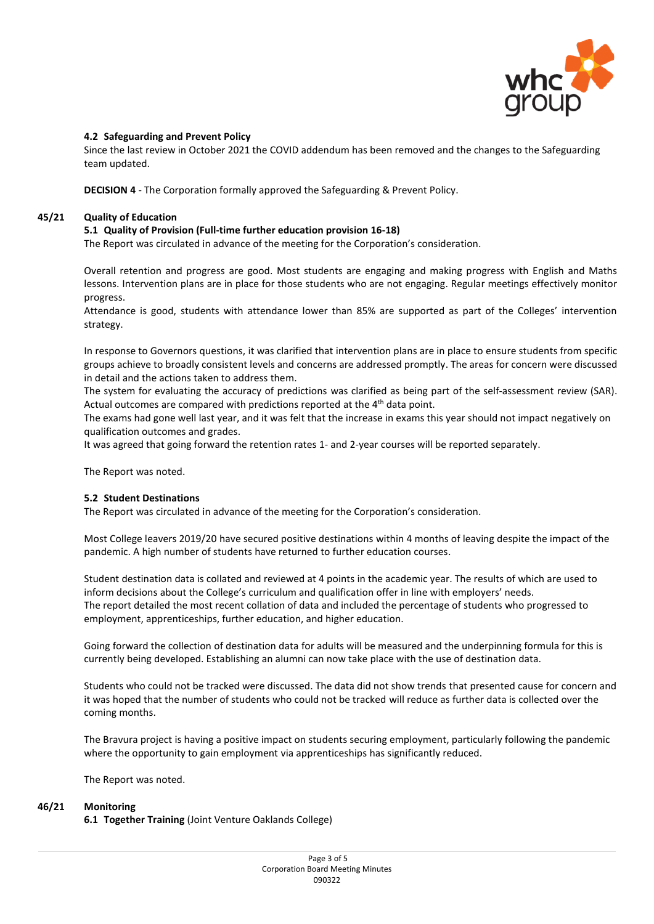

# **4.2 Safeguarding and Prevent Policy**

Since the last review in October 2021 the COVID addendum has been removed and the changes to the Safeguarding team updated.

**DECISION 4** - The Corporation formally approved the Safeguarding & Prevent Policy.

## **45/21 Quality of Education**

# **5.1 Quality of Provision (Full-time further education provision 16-18)**

The Report was circulated in advance of the meeting for the Corporation's consideration.

Overall retention and progress are good. Most students are engaging and making progress with English and Maths lessons. Intervention plans are in place for those students who are not engaging. Regular meetings effectively monitor progress.

Attendance is good, students with attendance lower than 85% are supported as part of the Colleges' intervention strategy.

In response to Governors questions, it was clarified that intervention plans are in place to ensure students from specific groups achieve to broadly consistent levels and concerns are addressed promptly. The areas for concern were discussed in detail and the actions taken to address them.

The system for evaluating the accuracy of predictions was clarified as being part of the self-assessment review (SAR). Actual outcomes are compared with predictions reported at the 4<sup>th</sup> data point.

The exams had gone well last year, and it was felt that the increase in exams this year should not impact negatively on qualification outcomes and grades.

It was agreed that going forward the retention rates 1- and 2-year courses will be reported separately.

The Report was noted.

#### **5.2 Student Destinations**

The Report was circulated in advance of the meeting for the Corporation's consideration.

Most College leavers 2019/20 have secured positive destinations within 4 months of leaving despite the impact of the pandemic. A high number of students have returned to further education courses.

Student destination data is collated and reviewed at 4 points in the academic year. The results of which are used to inform decisions about the College's curriculum and qualification offer in line with employers' needs. The report detailed the most recent collation of data and included the percentage of students who progressed to employment, apprenticeships, further education, and higher education.

Going forward the collection of destination data for adults will be measured and the underpinning formula for this is currently being developed. Establishing an alumni can now take place with the use of destination data.

Students who could not be tracked were discussed. The data did not show trends that presented cause for concern and it was hoped that the number of students who could not be tracked will reduce as further data is collected over the coming months.

The Bravura project is having a positive impact on students securing employment, particularly following the pandemic where the opportunity to gain employment via apprenticeships has significantly reduced.

The Report was noted.

#### **46/21 Monitoring**

**6.1 Together Training** (Joint Venture Oaklands College)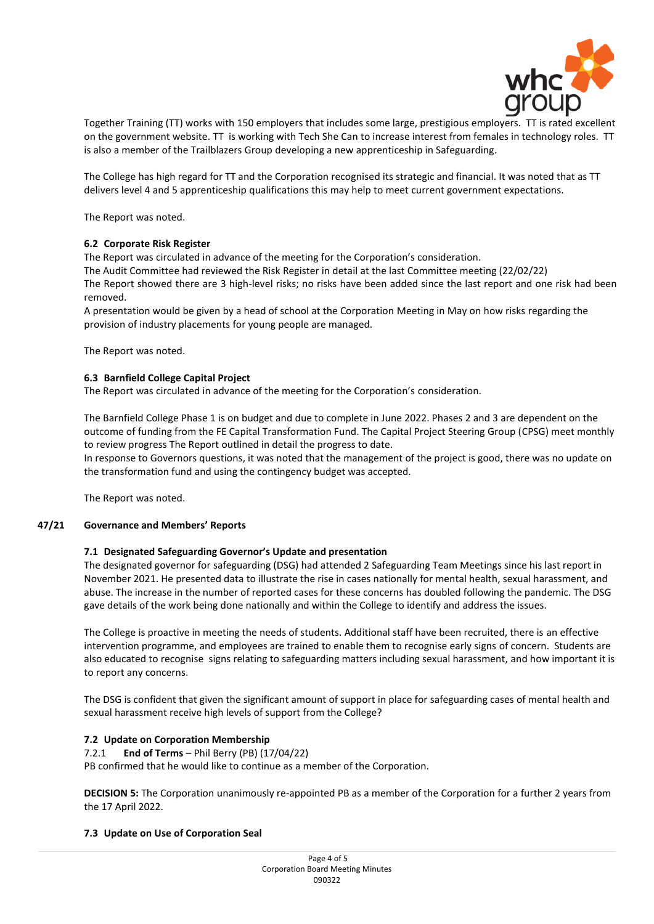

Together Training (TT) works with 150 employers that includes some large, prestigious employers. TT is rated excellent on the government website. TT is working with Tech She Can to increase interest from females in technology roles. TT is also a member of the Trailblazers Group developing a new apprenticeship in Safeguarding.

The College has high regard for TT and the Corporation recognised its strategic and financial. It was noted that as TT delivers level 4 and 5 apprenticeship qualifications this may help to meet current government expectations.

The Report was noted.

# **6.2 Corporate Risk Register**

The Report was circulated in advance of the meeting for the Corporation's consideration.

The Audit Committee had reviewed the Risk Register in detail at the last Committee meeting (22/02/22) The Report showed there are 3 high-level risks; no risks have been added since the last report and one risk had been removed.

A presentation would be given by a head of school at the Corporation Meeting in May on how risks regarding the provision of industry placements for young people are managed.

The Report was noted.

# **6.3 Barnfield College Capital Project**

The Report was circulated in advance of the meeting for the Corporation's consideration.

The Barnfield College Phase 1 is on budget and due to complete in June 2022. Phases 2 and 3 are dependent on the outcome of funding from the FE Capital Transformation Fund. The Capital Project Steering Group (CPSG) meet monthly to review progress The Report outlined in detail the progress to date.

In response to Governors questions, it was noted that the management of the project is good, there was no update on the transformation fund and using the contingency budget was accepted.

The Report was noted.

#### **47/21 Governance and Members' Reports**

# **7.1 Designated Safeguarding Governor's Update and presentation**

The designated governor for safeguarding (DSG) had attended 2 Safeguarding Team Meetings since his last report in November 2021. He presented data to illustrate the rise in cases nationally for mental health, sexual harassment, and abuse. The increase in the number of reported cases for these concerns has doubled following the pandemic. The DSG gave details of the work being done nationally and within the College to identify and address the issues.

The College is proactive in meeting the needs of students. Additional staff have been recruited, there is an effective intervention programme, and employees are trained to enable them to recognise early signs of concern. Students are also educated to recognise signs relating to safeguarding matters including sexual harassment, and how important it is to report any concerns.

The DSG is confident that given the significant amount of support in place for safeguarding cases of mental health and sexual harassment receive high levels of support from the College?

# **7.2 Update on Corporation Membership**

7.2.1 **End of Terms** – Phil Berry (PB) (17/04/22)

PB confirmed that he would like to continue as a member of the Corporation.

**DECISION 5:** The Corporation unanimously re-appointed PB as a member of the Corporation for a further 2 years from the 17 April 2022.

### **7.3 Update on Use of Corporation Seal**